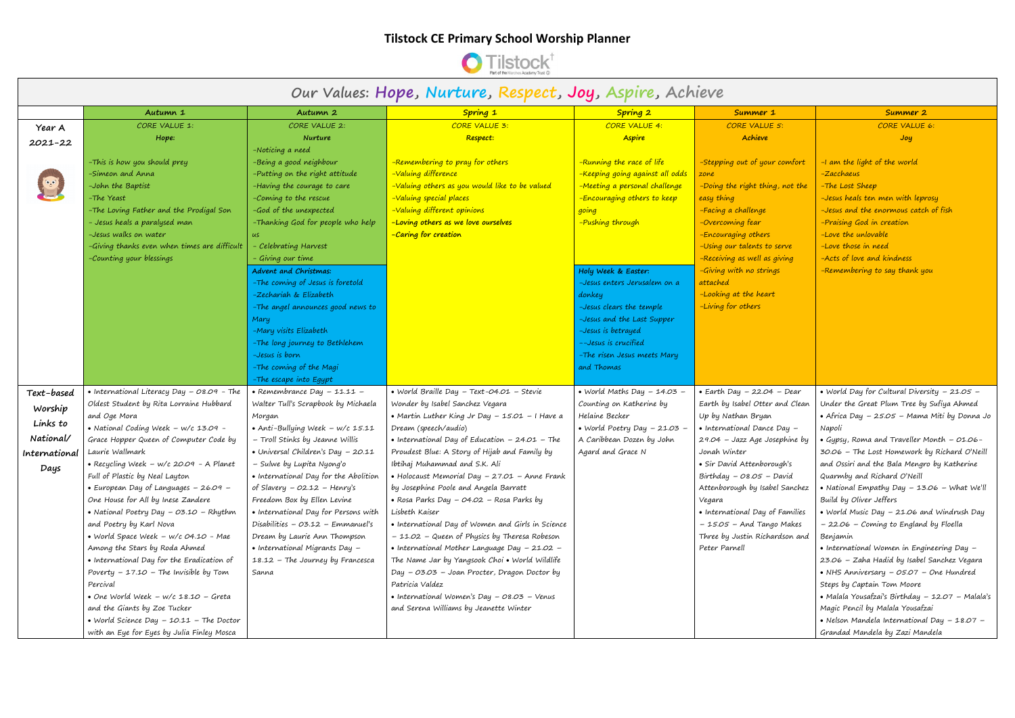

## **Our Values: Hope, Nurture, Respect, Joy, Aspire, Achieve**

| Our Values: Hope, Nurture, Respect, Joy, Aspire, Achieve |                                                      |                                            |                                                                         |                                              |                                                             |                                                    |
|----------------------------------------------------------|------------------------------------------------------|--------------------------------------------|-------------------------------------------------------------------------|----------------------------------------------|-------------------------------------------------------------|----------------------------------------------------|
|                                                          | Autumn 1                                             | Autumn 2                                   | Spring 1                                                                | Spring 2                                     | Summer 1                                                    | Summer 2                                           |
| Year A                                                   | CORE VALUE 1:                                        | CORE VALUE 2:                              | CORE VALUE 3:                                                           | CORE VALUE 4:                                | CORE VALUE 5:                                               | CORE VALUE 6:                                      |
| $2021 - 22$                                              | Hope:                                                | Nurture                                    | Respect:                                                                | <b>Aspire</b>                                | Achieve                                                     | Joy                                                |
|                                                          |                                                      | -Noticing a need                           |                                                                         |                                              |                                                             |                                                    |
|                                                          | -This is how you should prey                         | -Being a good neighbour                    | -Remembering to pray for others                                         | -Running the race of life                    | -Stepping out of your comfort                               | -I am the light of the world                       |
|                                                          | -Simeon and Anna                                     | -Putting on the right attitude             | -Valuing difference                                                     | <mark>-Keeping going against all odds</mark> | zone                                                        | -Zacchaeus                                         |
|                                                          | -John the Baptist                                    | -Having the courage to care                | -Valuing others as you would like to be valued                          | -Meeting a personal challenge                | -Doing the right thing, not the                             | -The Lost Sheep                                    |
|                                                          | -The Yeast                                           | -Coming to the rescue                      | -Valuing special places                                                 | -Encouraging others to keep                  | easy thing                                                  | -Jesus heals ten men with leprosy                  |
|                                                          | -The Loving Father and the Prodigal Son              | -God of the unexpected                     | -Valuing different opinions                                             | going                                        | -Facing a challenge                                         | -Jesus and the enormous catch of fish              |
|                                                          | - Jesus heals a paralysed man                        | -Thanking God for people who help          | -Loving others as we love ourselves                                     | -Pushing through                             | -Overcoming fear                                            | -Praising God in creation                          |
|                                                          | -Jesus walks on water                                | us                                         | -Caring for creation                                                    |                                              | -Encouraging others                                         | -Love the unlovable                                |
|                                                          | -Giving thanks even when times are difficult         | Celebrating Harvest                        |                                                                         |                                              | -Using our talents to serve                                 | -Love those in need                                |
|                                                          | -Counting your blessings                             | Giving our time                            |                                                                         |                                              | -Receiving as well as giving                                | -Acts of love and kindness                         |
|                                                          |                                                      | Advent and Christmas:                      |                                                                         | Holy Week & Easter:                          | -Giving with no strings                                     | -Remembering to say thank you                      |
|                                                          |                                                      | -The coming of Jesus is foretold           |                                                                         | -Jesus enters Jerusalem on a                 | attached                                                    |                                                    |
|                                                          |                                                      | -Zechariah & Elizabeth                     |                                                                         | donkey                                       | -Looking at the heart                                       |                                                    |
|                                                          |                                                      | -The angel announces good news to          |                                                                         | -Jesus clears the temple                     | -Living for others                                          |                                                    |
|                                                          |                                                      | Mary                                       |                                                                         | -Jesus and the Last Supper                   |                                                             |                                                    |
|                                                          |                                                      | -Mary visits Elizabeth                     |                                                                         | -Jesus is betrayed                           |                                                             |                                                    |
|                                                          |                                                      | -The long journey to Bethlehem             |                                                                         | --Jesus is crucified                         |                                                             |                                                    |
|                                                          |                                                      | -Jesus is born                             |                                                                         | -The risen Jesus meets Mary                  |                                                             |                                                    |
|                                                          |                                                      | -The coming of the Magi                    |                                                                         | and Thomas                                   |                                                             |                                                    |
|                                                          |                                                      | -The escape into Egypt                     |                                                                         |                                              |                                                             |                                                    |
| Text-based                                               | • International Literacy Day - 08.09 - The           | • Remembrance Day $-11.11 -$               | • World Braille Day - Text-04.01 - Stevie                               | • World Maths Day $-$ 14.03 $-$              | • Earth Day $-22.04$ – Dear                                 | • World Day for Cultural Diversity $-21.05 -$      |
| Worship                                                  | Oldest Student by Rita Lorraine Hubbard              | Walter Tull's Scrapbook by Michaela        | Wonder by Isabel Sanchez Vegara                                         | Counting on Katherine by<br>Helaine Becker   | Earth by Isabel Otter and Clean                             | Under the Great Plum Tree by Sufiya Ahmed          |
| Links to                                                 | and Oge Mora<br>• National Coding Week - w/c 13.09 - | Morgan<br>• Anti-Bullying Week - w/c 15.11 | • Martin Luther King Jr Day - 15.01 - I Have a                          | • World Poetry Day $-21.03 -$                | Up by Nathan Bryan<br>$\bullet$ International Dance Day $-$ | • Africa Day – 25.05 – Mama Miti by Donna Jo       |
| National/                                                | Grace Hopper Queen of Computer Code by               | - Troll Stinks by Jeanne Willis            | Dream (speech/audio)<br>• International Day of Education $-24.01$ – The | A Caribbean Dozen by John                    | 29.04 - Jazz Age Josephine by                               | Napoli<br>Gypsy, Roma and Traveller Month - 01.06- |
| International                                            | Laurie Wallmark                                      | • Universal Children's Day - 20.11         | Proudest Blue: A Story of Hijab and Family by                           | Agard and Grace N                            | Jonah Winter                                                | 30.06 - The Lost Homework by Richard O'Neill       |
|                                                          | • Recycling Week - w/c 20.09 - A Planet              | – Sulwe by Lupita Nyong'o                  | Ibtihaj Muhammad and S.K. Ali                                           |                                              | • Sir David Attenborough's                                  | and Ossiri and the Bala Mengro by Katherine        |
| Days                                                     | Full of Plastic by Neal Layton                       | • International Day for the Abolition      | • Holocaust Memorial Day $-27.01$ – Anne Frank                          |                                              | Birthday $-08.05$ - David                                   | Quarmby and Richard O'Neill                        |
|                                                          | • European Day of Languages - 26.09 -                | of Slavery $-$ 02.12 $-$ Henry's           | by Josephine Poole and Angela Barratt                                   |                                              | Attenborough by Isabel Sanchez                              | • National Empathy Day - 13.06 - What We'll        |
|                                                          | One House for All by Inese Zandere                   | Freedom Box by Ellen Levine                | • Rosa Parks Day – 04.02 – Rosa Parks by                                |                                              | Vegara                                                      | Build by Oliver Jeffers                            |
|                                                          | • National Poetry Day – 03.10 – Rhythm               | • International Day for Persons with       | Lisbeth Kaiser                                                          |                                              | • International Day of Families                             | • World Music Day - 21.06 and Windrush Day         |
|                                                          | and Poetry by Karl Nova                              | Disabilities - $O3.12$ - Emmanuel's        | • International Day of Women and Girls in Science                       |                                              | - 15.05 - And Tango Makes                                   | - 22.06 - Coming to England by Floella             |
|                                                          | • World Space Week – w/c 04.10 - Mae                 | Dream by Laurie Ann Thompson               | – 11.02 – Queen of Physics by Theresa Robeson                           |                                              | Three by Justin Richardson and                              | Benjamin                                           |
|                                                          | Among the Stars by Roda Ahmed                        | • International Migrants Day -             | • International Mother Language Day - 21.02 -                           |                                              | Peter Parnell                                               | • International Women in Engineering Day -         |
|                                                          | • International Day for the Eradication of           | 18.12 - The Journey by Francesca           | The Name Jar by Yangsook Choi • World Wildlife                          |                                              |                                                             | 23.06 – Zaha Hadid by Isabel Sanchez Vegara        |
|                                                          | Poverty $-17.10$ – The Invisible by Tom              | Sanna                                      | Day - 03.03 - Joan Procter, Dragon Doctor by                            |                                              |                                                             | • NHS Anniversary – 05.07 – One Hundred            |
|                                                          | Percival                                             |                                            | Patricia Valdez                                                         |                                              |                                                             | Steps by Captain Tom Moore                         |
|                                                          | • One World Week $-$ w/c 18.10 $-$ Greta             |                                            | • International Women's Day $-$ 08.03 $-$ Venus                         |                                              |                                                             | • Malala Yousafzai's Birthday – 12.07 – Malala's   |
|                                                          | and the Giants by Zoe Tucker                         |                                            | and Serena Williams by Jeanette Winter                                  |                                              |                                                             | Magic Pencil by Malala Yousafzai                   |
|                                                          | • World Science Day $-$ 10.11 - The Doctor           |                                            |                                                                         |                                              |                                                             | • Nelson Mandela International Day $-$ 18.07 $-$   |
|                                                          | with an Eye for Eyes by Julia Finley Mosca           |                                            |                                                                         |                                              |                                                             | Grandad Mandela by Zazi Mandela                    |